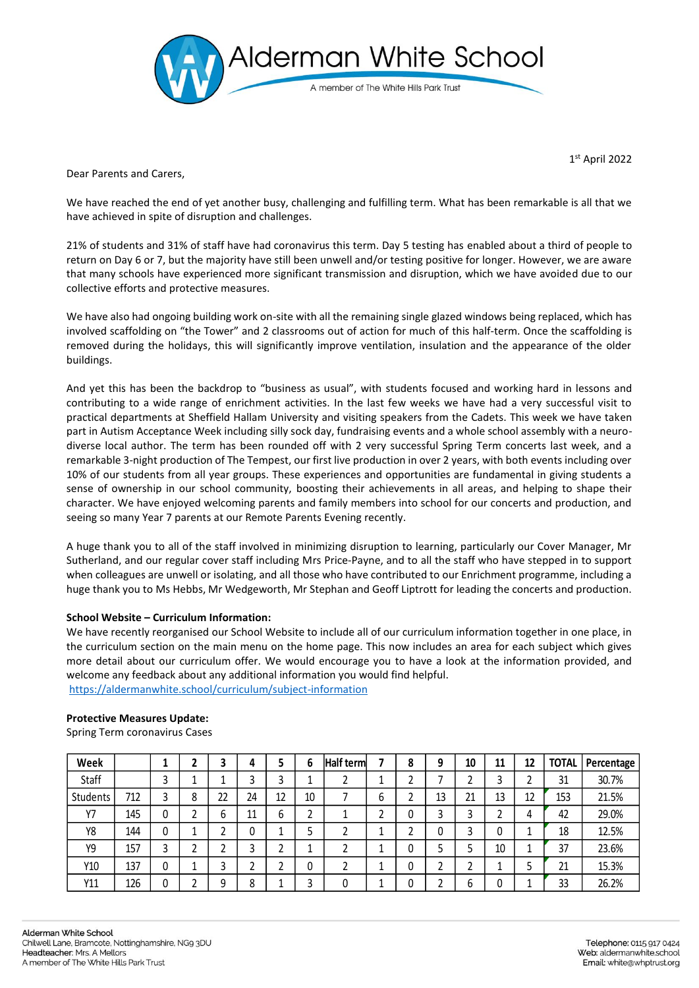

1 st April 2022

Dear Parents and Carers,

We have reached the end of yet another busy, challenging and fulfilling term. What has been remarkable is all that we have achieved in spite of disruption and challenges.

21% of students and 31% of staff have had coronavirus this term. Day 5 testing has enabled about a third of people to return on Day 6 or 7, but the majority have still been unwell and/or testing positive for longer. However, we are aware that many schools have experienced more significant transmission and disruption, which we have avoided due to our collective efforts and protective measures.

We have also had ongoing building work on-site with all the remaining single glazed windows being replaced, which has involved scaffolding on "the Tower" and 2 classrooms out of action for much of this half-term. Once the scaffolding is removed during the holidays, this will significantly improve ventilation, insulation and the appearance of the older buildings.

And yet this has been the backdrop to "business as usual", with students focused and working hard in lessons and contributing to a wide range of enrichment activities. In the last few weeks we have had a very successful visit to practical departments at Sheffield Hallam University and visiting speakers from the Cadets. This week we have taken part in Autism Acceptance Week including silly sock day, fundraising events and a whole school assembly with a neurodiverse local author. The term has been rounded off with 2 very successful Spring Term concerts last week, and a remarkable 3-night production of The Tempest, our first live production in over 2 years, with both events including over 10% of our students from all year groups. These experiences and opportunities are fundamental in giving students a sense of ownership in our school community, boosting their achievements in all areas, and helping to shape their character. We have enjoyed welcoming parents and family members into school for our concerts and production, and seeing so many Year 7 parents at our Remote Parents Evening recently.

A huge thank you to all of the staff involved in minimizing disruption to learning, particularly our Cover Manager, Mr Sutherland, and our regular cover staff including Mrs Price-Payne, and to all the staff who have stepped in to support when colleagues are unwell or isolating, and all those who have contributed to our Enrichment programme, including a huge thank you to Ms Hebbs, Mr Wedgeworth, Mr Stephan and Geoff Liptrott for leading the concerts and production.

## **School Website – Curriculum Information:**

We have recently reorganised our School Website to include all of our curriculum information together in one place, in the curriculum section on the main menu on the home page. This now includes an area for each subject which gives more detail about our curriculum offer. We would encourage you to have a look at the information provided, and welcome any feedback about any additional information you would find helpful.

<https://aldermanwhite.school/curriculum/subject-information>

# **Week 1 2 3 4 5 6 Half term 7 8 9 10 11 12 TOTAL Percentage** Staff | | | 3 | 1 | 1 | 3 | 3 | 1 | 2 | 1 | 2 | 7 | 2 | 3 | 2 | 31 | 30.7% Students | 712 | 3 | 8 | 22 | 24 | 12 | 10 | 7 | | 6 | 2 | 13 | 21 | 13 | 12 | 153 | 21.5% Y7 145 0 2 6 11 6 2 1 2 0 3 3 2 4 42 29.0% Y8 144 0 1 2 0 1 5 2 1 2 0 3 0 1 18 12.5% Y9 157 3 2 2 3 2 1 2 1 0 5 5 10 1 37 23.6% Y10 137 0 1 3 2 2 0 2 1 0 2 2 1 5 21 15.3% Y11 126 0 2 9 8 1 3 0 1 0 2 6 0 1 33 26.2%

#### **Protective Measures Update:**

Spring Term coronavirus Cases